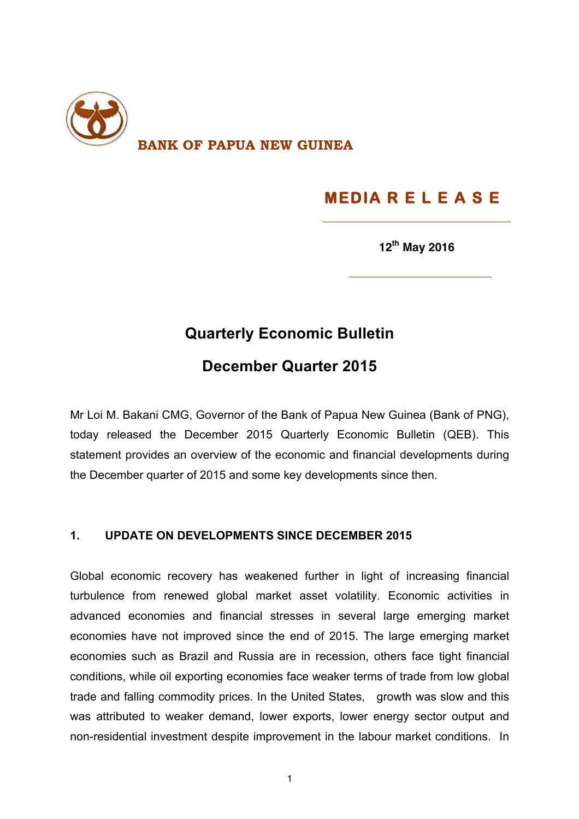

# **MEDIA R E L E A S E**

**12th May 2016**

## **Quarterly Economic Bulletin**

### **December Quarter 2015**

Mr Loi M. Bakani CMG, Governor of the Bank of Papua New Guinea (Bank of PNG), today released the December 2015 Quarterly Economic Bulletin (QEB). This statement provides an overview of the economic and financial developments during the December quarter of 2015 and some key developments since then.

#### **1. UPDATE ON DEVELOPMENTS SINCE DECEMBER 2015**

Global economic recovery has weakened further in light of increasing financial turbulence from renewed global market asset volatility. Economic activities in advanced economies and financial stresses in several large emerging market economies have not improved since the end of 2015. The large emerging market economies such as Brazil and Russia are in recession, others face tight financial conditions, while oil exporting economies face weaker terms of trade from low global trade and falling commodity prices. In the United States, growth was slow and this was attributed to weaker demand, lower exports, lower energy sector output and non-residential investment despite improvement in the labour market conditions. In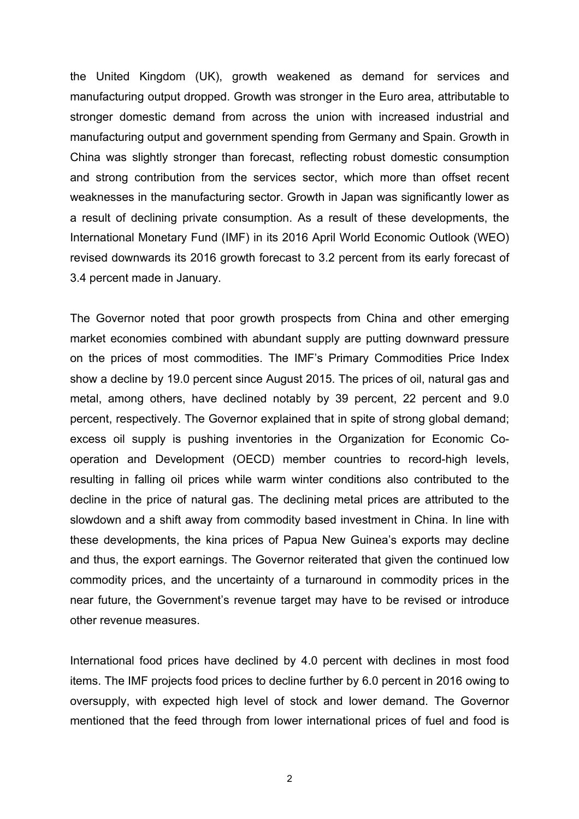the United Kingdom (UK), growth weakened as demand for services and manufacturing output dropped. Growth was stronger in the Euro area, attributable to stronger domestic demand from across the union with increased industrial and manufacturing output and government spending from Germany and Spain. Growth in China was slightly stronger than forecast, reflecting robust domestic consumption and strong contribution from the services sector, which more than offset recent weaknesses in the manufacturing sector. Growth in Japan was significantly lower as a result of declining private consumption. As a result of these developments, the International Monetary Fund (IMF) in its 2016 April World Economic Outlook (WEO) revised downwards its 2016 growth forecast to 3.2 percent from its early forecast of 3.4 percent made in January.

The Governor noted that poor growth prospects from China and other emerging market economies combined with abundant supply are putting downward pressure on the prices of most commodities. The IMF's Primary Commodities Price Index show a decline by 19.0 percent since August 2015. The prices of oil, natural gas and metal, among others, have declined notably by 39 percent, 22 percent and 9.0 percent, respectively. The Governor explained that in spite of strong global demand; excess oil supply is pushing inventories in the Organization for Economic Cooperation and Development (OECD) member countries to record-high levels, resulting in falling oil prices while warm winter conditions also contributed to the decline in the price of natural gas. The declining metal prices are attributed to the slowdown and a shift away from commodity based investment in China. In line with these developments, the kina prices of Papua New Guinea's exports may decline and thus, the export earnings. The Governor reiterated that given the continued low commodity prices, and the uncertainty of a turnaround in commodity prices in the near future, the Government's revenue target may have to be revised or introduce other revenue measures.

International food prices have declined by 4.0 percent with declines in most food items. The IMF projects food prices to decline further by 6.0 percent in 2016 owing to oversupply, with expected high level of stock and lower demand. The Governor mentioned that the feed through from lower international prices of fuel and food is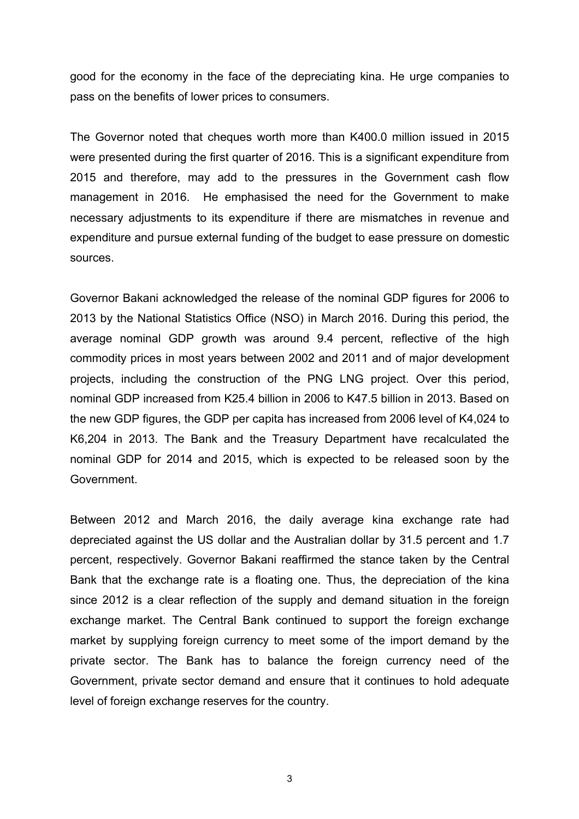good for the economy in the face of the depreciating kina. He urge companies to pass on the benefits of lower prices to consumers.

The Governor noted that cheques worth more than K400.0 million issued in 2015 were presented during the first quarter of 2016. This is a significant expenditure from 2015 and therefore, may add to the pressures in the Government cash flow management in 2016. He emphasised the need for the Government to make necessary adjustments to its expenditure if there are mismatches in revenue and expenditure and pursue external funding of the budget to ease pressure on domestic sources.

Governor Bakani acknowledged the release of the nominal GDP figures for 2006 to 2013 by the National Statistics Office (NSO) in March 2016. During this period, the average nominal GDP growth was around 9.4 percent, reflective of the high commodity prices in most years between 2002 and 2011 and of major development projects, including the construction of the PNG LNG project. Over this period, nominal GDP increased from K25.4 billion in 2006 to K47.5 billion in 2013. Based on the new GDP figures, the GDP per capita has increased from 2006 level of K4,024 to K6,204 in 2013. The Bank and the Treasury Department have recalculated the nominal GDP for 2014 and 2015, which is expected to be released soon by the Government.

Between 2012 and March 2016, the daily average kina exchange rate had depreciated against the US dollar and the Australian dollar by 31.5 percent and 1.7 percent, respectively. Governor Bakani reaffirmed the stance taken by the Central Bank that the exchange rate is a floating one. Thus, the depreciation of the kina since 2012 is a clear reflection of the supply and demand situation in the foreign exchange market. The Central Bank continued to support the foreign exchange market by supplying foreign currency to meet some of the import demand by the private sector. The Bank has to balance the foreign currency need of the Government, private sector demand and ensure that it continues to hold adequate level of foreign exchange reserves for the country.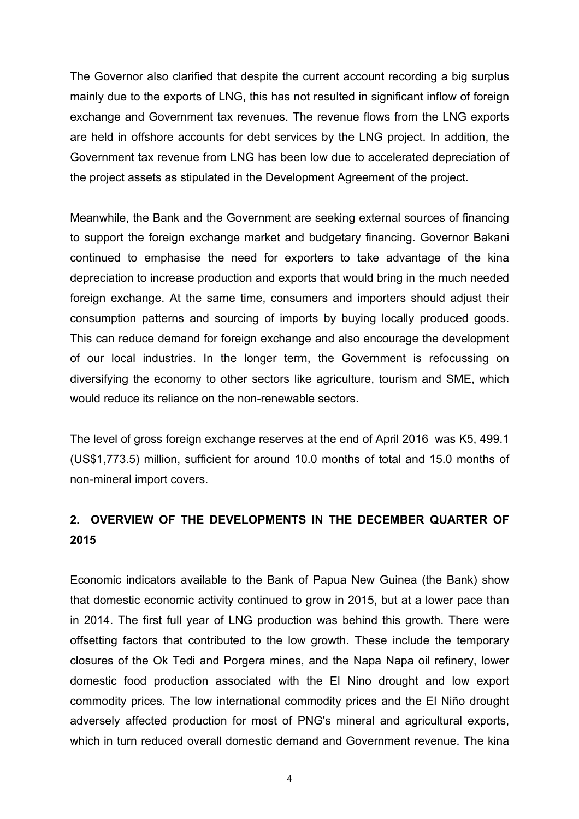The Governor also clarified that despite the current account recording a big surplus mainly due to the exports of LNG, this has not resulted in significant inflow of foreign exchange and Government tax revenues. The revenue flows from the LNG exports are held in offshore accounts for debt services by the LNG project. In addition, the Government tax revenue from LNG has been low due to accelerated depreciation of the project assets as stipulated in the Development Agreement of the project.

Meanwhile, the Bank and the Government are seeking external sources of financing to support the foreign exchange market and budgetary financing. Governor Bakani continued to emphasise the need for exporters to take advantage of the kina depreciation to increase production and exports that would bring in the much needed foreign exchange. At the same time, consumers and importers should adjust their consumption patterns and sourcing of imports by buying locally produced goods. This can reduce demand for foreign exchange and also encourage the development of our local industries. In the longer term, the Government is refocussing on diversifying the economy to other sectors like agriculture, tourism and SME, which would reduce its reliance on the non-renewable sectors.

The level of gross foreign exchange reserves at the end of April 2016 was K5, 499.1 (US\$1,773.5) million, sufficient for around 10.0 months of total and 15.0 months of non-mineral import covers.

#### **2. OVERVIEW OF THE DEVELOPMENTS IN THE DECEMBER QUARTER OF 2015**

Economic indicators available to the Bank of Papua New Guinea (the Bank) show that domestic economic activity continued to grow in 2015, but at a lower pace than in 2014. The first full year of LNG production was behind this growth. There were offsetting factors that contributed to the low growth. These include the temporary closures of the Ok Tedi and Porgera mines, and the Napa Napa oil refinery, lower domestic food production associated with the El Nino drought and low export commodity prices. The low international commodity prices and the El Niño drought adversely affected production for most of PNG's mineral and agricultural exports, which in turn reduced overall domestic demand and Government revenue. The kina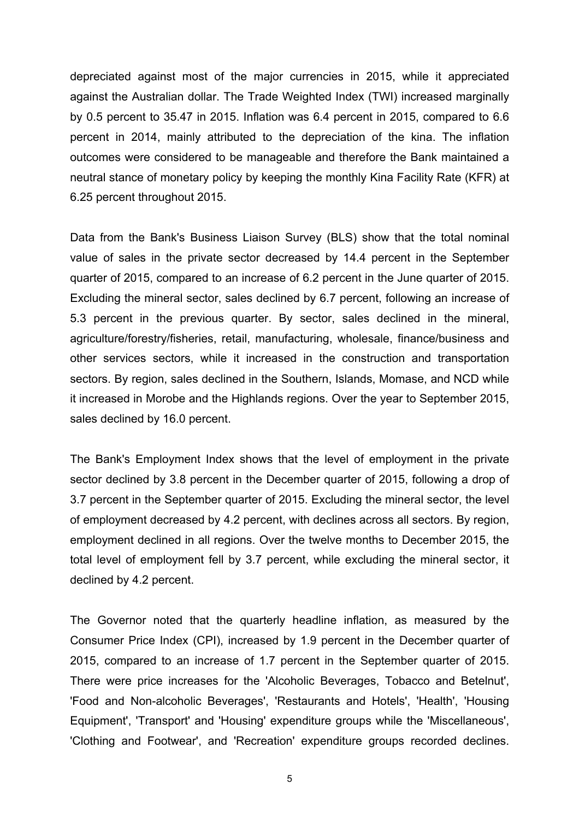depreciated against most of the major currencies in 2015, while it appreciated against the Australian dollar. The Trade Weighted Index (TWI) increased marginally by 0.5 percent to 35.47 in 2015. Inflation was 6.4 percent in 2015, compared to 6.6 percent in 2014, mainly attributed to the depreciation of the kina. The inflation outcomes were considered to be manageable and therefore the Bank maintained a neutral stance of monetary policy by keeping the monthly Kina Facility Rate (KFR) at 6.25 percent throughout 2015.

Data from the Bank's Business Liaison Survey (BLS) show that the total nominal value of sales in the private sector decreased by 14.4 percent in the September quarter of 2015, compared to an increase of 6.2 percent in the June quarter of 2015. Excluding the mineral sector, sales declined by 6.7 percent, following an increase of 5.3 percent in the previous quarter. By sector, sales declined in the mineral, agriculture/forestry/fisheries, retail, manufacturing, wholesale, finance/business and other services sectors, while it increased in the construction and transportation sectors. By region, sales declined in the Southern, Islands, Momase, and NCD while it increased in Morobe and the Highlands regions. Over the year to September 2015, sales declined by 16.0 percent.

The Bank's Employment Index shows that the level of employment in the private sector declined by 3.8 percent in the December quarter of 2015, following a drop of 3.7 percent in the September quarter of 2015. Excluding the mineral sector, the level of employment decreased by 4.2 percent, with declines across all sectors. By region, employment declined in all regions. Over the twelve months to December 2015, the total level of employment fell by 3.7 percent, while excluding the mineral sector, it declined by 4.2 percent.

The Governor noted that the quarterly headline inflation, as measured by the Consumer Price Index (CPI), increased by 1.9 percent in the December quarter of 2015, compared to an increase of 1.7 percent in the September quarter of 2015. There were price increases for the 'Alcoholic Beverages, Tobacco and Betelnut', 'Food and Non-alcoholic Beverages', 'Restaurants and Hotels', 'Health', 'Housing Equipment', 'Transport' and 'Housing' expenditure groups while the 'Miscellaneous', 'Clothing and Footwear', and 'Recreation' expenditure groups recorded declines.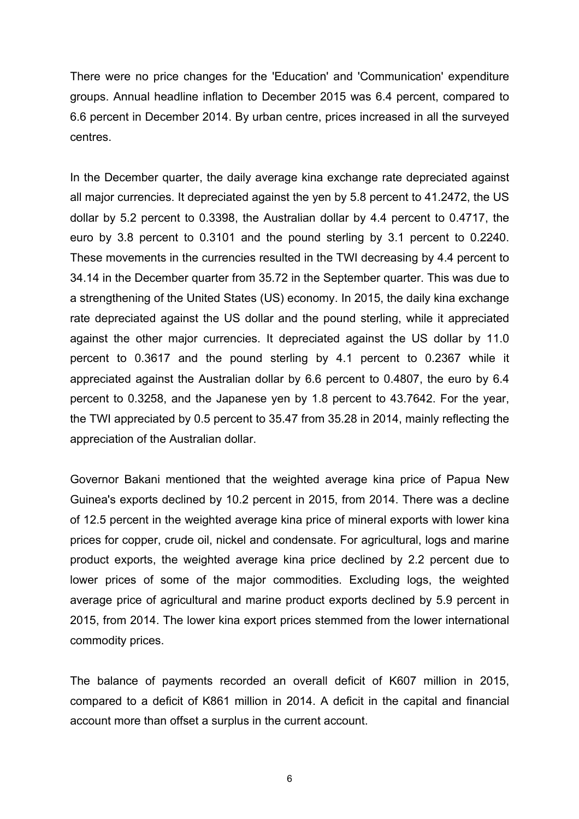There were no price changes for the 'Education' and 'Communication' expenditure groups. Annual headline inflation to December 2015 was 6.4 percent, compared to 6.6 percent in December 2014. By urban centre, prices increased in all the surveyed centres.

In the December quarter, the daily average kina exchange rate depreciated against all major currencies. It depreciated against the yen by 5.8 percent to 41.2472, the US dollar by 5.2 percent to 0.3398, the Australian dollar by 4.4 percent to 0.4717, the euro by 3.8 percent to 0.3101 and the pound sterling by 3.1 percent to 0.2240. These movements in the currencies resulted in the TWI decreasing by 4.4 percent to 34.14 in the December quarter from 35.72 in the September quarter. This was due to a strengthening of the United States (US) economy. In 2015, the daily kina exchange rate depreciated against the US dollar and the pound sterling, while it appreciated against the other major currencies. It depreciated against the US dollar by 11.0 percent to 0.3617 and the pound sterling by 4.1 percent to 0.2367 while it appreciated against the Australian dollar by 6.6 percent to 0.4807, the euro by 6.4 percent to 0.3258, and the Japanese yen by 1.8 percent to 43.7642. For the year, the TWI appreciated by 0.5 percent to 35.47 from 35.28 in 2014, mainly reflecting the appreciation of the Australian dollar.

Governor Bakani mentioned that the weighted average kina price of Papua New Guinea's exports declined by 10.2 percent in 2015, from 2014. There was a decline of 12.5 percent in the weighted average kina price of mineral exports with lower kina prices for copper, crude oil, nickel and condensate. For agricultural, logs and marine product exports, the weighted average kina price declined by 2.2 percent due to lower prices of some of the major commodities. Excluding logs, the weighted average price of agricultural and marine product exports declined by 5.9 percent in 2015, from 2014. The lower kina export prices stemmed from the lower international commodity prices.

The balance of payments recorded an overall deficit of K607 million in 2015, compared to a deficit of K861 million in 2014. A deficit in the capital and financial account more than offset a surplus in the current account.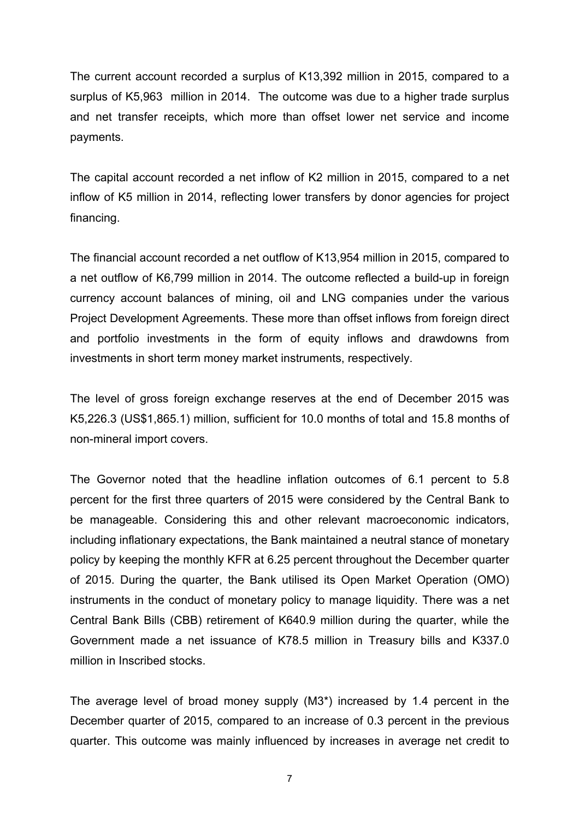The current account recorded a surplus of K13,392 million in 2015, compared to a surplus of K5,963 million in 2014. The outcome was due to a higher trade surplus and net transfer receipts, which more than offset lower net service and income payments.

The capital account recorded a net inflow of K2 million in 2015, compared to a net inflow of K5 million in 2014, reflecting lower transfers by donor agencies for project financing.

The financial account recorded a net outflow of K13,954 million in 2015, compared to a net outflow of K6,799 million in 2014. The outcome reflected a build-up in foreign currency account balances of mining, oil and LNG companies under the various Project Development Agreements. These more than offset inflows from foreign direct and portfolio investments in the form of equity inflows and drawdowns from investments in short term money market instruments, respectively.

The level of gross foreign exchange reserves at the end of December 2015 was K5,226.3 (US\$1,865.1) million, sufficient for 10.0 months of total and 15.8 months of non-mineral import covers.

The Governor noted that the headline inflation outcomes of 6.1 percent to 5.8 percent for the first three quarters of 2015 were considered by the Central Bank to be manageable. Considering this and other relevant macroeconomic indicators, including inflationary expectations, the Bank maintained a neutral stance of monetary policy by keeping the monthly KFR at 6.25 percent throughout the December quarter of 2015. During the quarter, the Bank utilised its Open Market Operation (OMO) instruments in the conduct of monetary policy to manage liquidity. There was a net Central Bank Bills (CBB) retirement of K640.9 million during the quarter, while the Government made a net issuance of K78.5 million in Treasury bills and K337.0 million in Inscribed stocks.

The average level of broad money supply (M3\*) increased by 1.4 percent in the December quarter of 2015, compared to an increase of 0.3 percent in the previous quarter. This outcome was mainly influenced by increases in average net credit to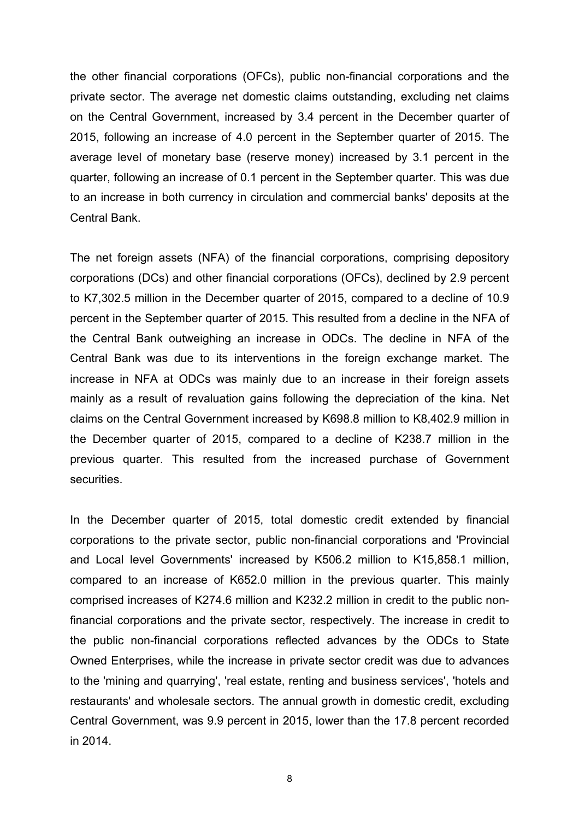the other financial corporations (OFCs), public non-financial corporations and the private sector. The average net domestic claims outstanding, excluding net claims on the Central Government, increased by 3.4 percent in the December quarter of 2015, following an increase of 4.0 percent in the September quarter of 2015. The average level of monetary base (reserve money) increased by 3.1 percent in the quarter, following an increase of 0.1 percent in the September quarter. This was due to an increase in both currency in circulation and commercial banks' deposits at the Central Bank.

The net foreign assets (NFA) of the financial corporations, comprising depository corporations (DCs) and other financial corporations (OFCs), declined by 2.9 percent to K7,302.5 million in the December quarter of 2015, compared to a decline of 10.9 percent in the September quarter of 2015. This resulted from a decline in the NFA of the Central Bank outweighing an increase in ODCs. The decline in NFA of the Central Bank was due to its interventions in the foreign exchange market. The increase in NFA at ODCs was mainly due to an increase in their foreign assets mainly as a result of revaluation gains following the depreciation of the kina. Net claims on the Central Government increased by K698.8 million to K8,402.9 million in the December quarter of 2015, compared to a decline of K238.7 million in the previous quarter. This resulted from the increased purchase of Government securities.

In the December quarter of 2015, total domestic credit extended by financial corporations to the private sector, public non-financial corporations and 'Provincial and Local level Governments' increased by K506.2 million to K15,858.1 million, compared to an increase of K652.0 million in the previous quarter. This mainly comprised increases of K274.6 million and K232.2 million in credit to the public nonfinancial corporations and the private sector, respectively. The increase in credit to the public non-financial corporations reflected advances by the ODCs to State Owned Enterprises, while the increase in private sector credit was due to advances to the 'mining and quarrying', 'real estate, renting and business services', 'hotels and restaurants' and wholesale sectors. The annual growth in domestic credit, excluding Central Government, was 9.9 percent in 2015, lower than the 17.8 percent recorded in 2014.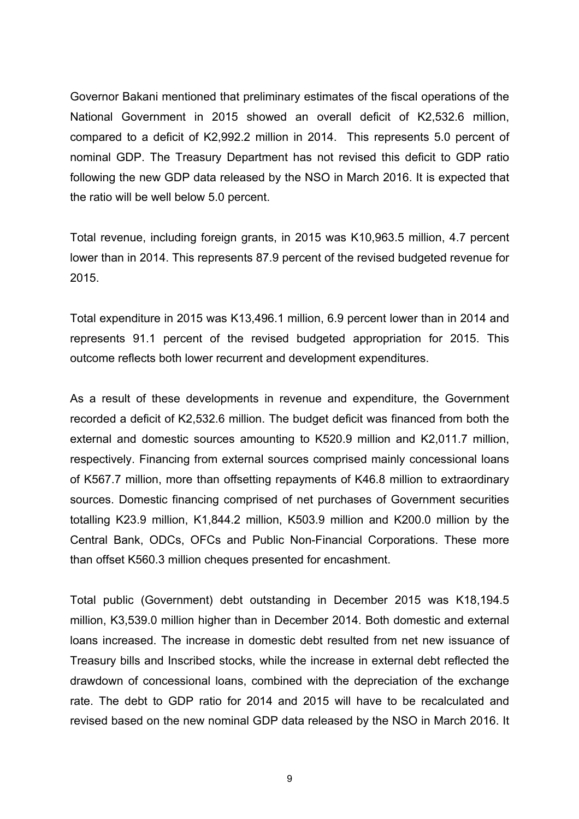Governor Bakani mentioned that preliminary estimates of the fiscal operations of the National Government in 2015 showed an overall deficit of K2,532.6 million, compared to a deficit of K2,992.2 million in 2014. This represents 5.0 percent of nominal GDP. The Treasury Department has not revised this deficit to GDP ratio following the new GDP data released by the NSO in March 2016. It is expected that the ratio will be well below 5.0 percent.

Total revenue, including foreign grants, in 2015 was K10,963.5 million, 4.7 percent lower than in 2014. This represents 87.9 percent of the revised budgeted revenue for 2015.

Total expenditure in 2015 was K13,496.1 million, 6.9 percent lower than in 2014 and represents 91.1 percent of the revised budgeted appropriation for 2015. This outcome reflects both lower recurrent and development expenditures.

As a result of these developments in revenue and expenditure, the Government recorded a deficit of K2,532.6 million. The budget deficit was financed from both the external and domestic sources amounting to K520.9 million and K2,011.7 million, respectively. Financing from external sources comprised mainly concessional loans of K567.7 million, more than offsetting repayments of K46.8 million to extraordinary sources. Domestic financing comprised of net purchases of Government securities totalling K23.9 million, K1,844.2 million, K503.9 million and K200.0 million by the Central Bank, ODCs, OFCs and Public Non-Financial Corporations. These more than offset K560.3 million cheques presented for encashment.

Total public (Government) debt outstanding in December 2015 was K18,194.5 million, K3,539.0 million higher than in December 2014. Both domestic and external loans increased. The increase in domestic debt resulted from net new issuance of Treasury bills and Inscribed stocks, while the increase in external debt reflected the drawdown of concessional loans, combined with the depreciation of the exchange rate. The debt to GDP ratio for 2014 and 2015 will have to be recalculated and revised based on the new nominal GDP data released by the NSO in March 2016. It